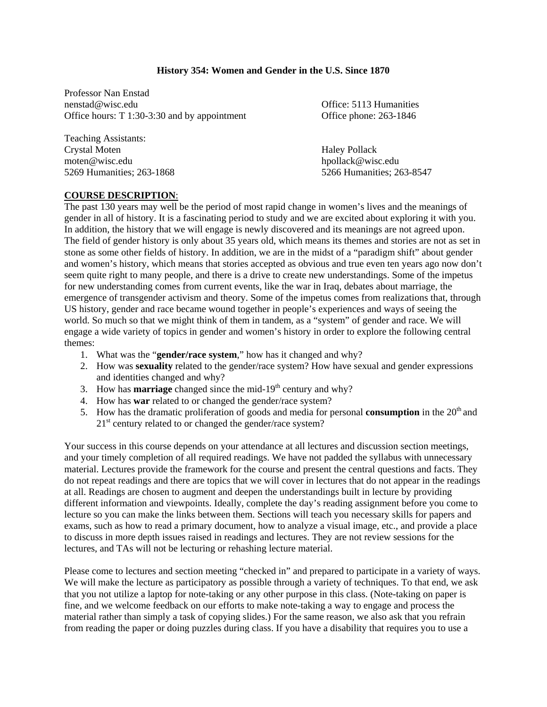#### **History 354: Women and Gender in the U.S. Since 1870**

Professor Nan Enstad nenstad@wisc.edu Office: 5113 Humanities Office hours: T 1:30-3:30 and by appointment Office phone: 263-1846

Teaching Assistants: Crystal Moten Haley Pollack moten@wisc.edu hpollack@wisc.edu 5269 Humanities; 263-1868 5266 Humanities; 263-8547

#### **COURSE DESCRIPTION**:

The past 130 years may well be the period of most rapid change in women's lives and the meanings of gender in all of history. It is a fascinating period to study and we are excited about exploring it with you. In addition, the history that we will engage is newly discovered and its meanings are not agreed upon. The field of gender history is only about 35 years old, which means its themes and stories are not as set in stone as some other fields of history. In addition, we are in the midst of a "paradigm shift" about gender and women's history, which means that stories accepted as obvious and true even ten years ago now don't seem quite right to many people, and there is a drive to create new understandings. Some of the impetus for new understanding comes from current events, like the war in Iraq, debates about marriage, the emergence of transgender activism and theory. Some of the impetus comes from realizations that, through US history, gender and race became wound together in people's experiences and ways of seeing the world. So much so that we might think of them in tandem, as a "system" of gender and race. We will engage a wide variety of topics in gender and women's history in order to explore the following central themes:

- 1. What was the "**gender/race system**," how has it changed and why?
- 2. How was **sexuality** related to the gender/race system? How have sexual and gender expressions and identities changed and why?
- 3. How has **marriage** changed since the mid-19<sup>th</sup> century and why?
- 4. How has **war** related to or changed the gender/race system?
- 5. How has the dramatic proliferation of goods and media for personal **consumption** in the  $20<sup>th</sup>$  and  $21<sup>st</sup>$  century related to or changed the gender/race system?

Your success in this course depends on your attendance at all lectures and discussion section meetings, and your timely completion of all required readings. We have not padded the syllabus with unnecessary material. Lectures provide the framework for the course and present the central questions and facts. They do not repeat readings and there are topics that we will cover in lectures that do not appear in the readings at all. Readings are chosen to augment and deepen the understandings built in lecture by providing different information and viewpoints. Ideally, complete the day's reading assignment before you come to lecture so you can make the links between them. Sections will teach you necessary skills for papers and exams, such as how to read a primary document, how to analyze a visual image, etc., and provide a place to discuss in more depth issues raised in readings and lectures. They are not review sessions for the lectures, and TAs will not be lecturing or rehashing lecture material.

Please come to lectures and section meeting "checked in" and prepared to participate in a variety of ways. We will make the lecture as participatory as possible through a variety of techniques. To that end, we ask that you not utilize a laptop for note-taking or any other purpose in this class. (Note-taking on paper is fine, and we welcome feedback on our efforts to make note-taking a way to engage and process the material rather than simply a task of copying slides.) For the same reason, we also ask that you refrain from reading the paper or doing puzzles during class. If you have a disability that requires you to use a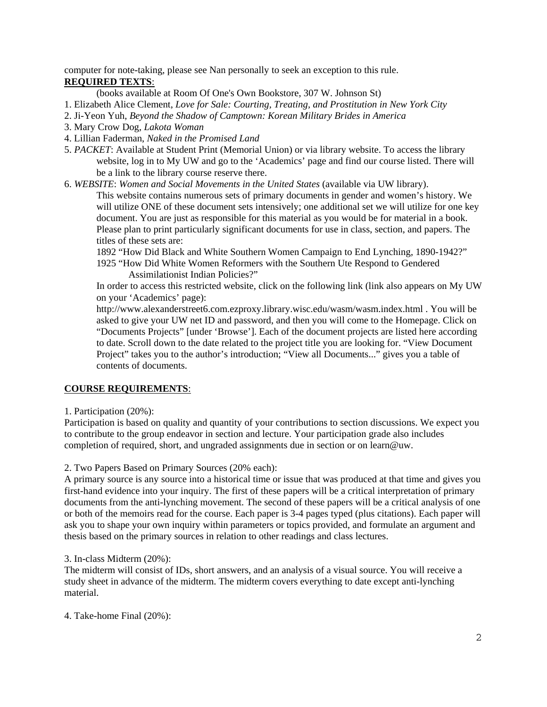computer for note-taking, please see Nan personally to seek an exception to this rule. **REQUIRED TEXTS**:

(books available at Room Of One's Own Bookstore, 307 W. Johnson St)

1. Elizabeth Alice Clement, *Love for Sale: Courting, Treating, and Prostitution in New York City* 

- 2. Ji-Yeon Yuh, *Beyond the Shadow of Camptown: Korean Military Brides in America*
- 3. Mary Crow Dog, *Lakota Woman*
- 4. Lillian Faderman, *Naked in the Promised Land*
- 5. *PACKET*: Available at Student Print (Memorial Union) or via library website. To access the library website, log in to My UW and go to the 'Academics' page and find our course listed. There will be a link to the library course reserve there.
- 6. *WEBSITE*: *Women and Social Movements in the United States* (available via UW library).

This website contains numerous sets of primary documents in gender and women's history. We will utilize ONE of these document sets intensively; one additional set we will utilize for one key document. You are just as responsible for this material as you would be for material in a book. Please plan to print particularly significant documents for use in class, section, and papers. The titles of these sets are:

1892 "How Did Black and White Southern Women Campaign to End Lynching, 1890-1942?"

1925 "How Did White Women Reformers with the Southern Ute Respond to Gendered Assimilationist Indian Policies?"

In order to access this restricted website, click on the following link (link also appears on My UW on your 'Academics' page):

http://www.alexanderstreet6.com.ezproxy.library.wisc.edu/wasm/wasm.index.html . You will be asked to give your UW net ID and password, and then you will come to the Homepage. Click on "Documents Projects" [under 'Browse']. Each of the document projects are listed here according to date. Scroll down to the date related to the project title you are looking for. "View Document Project" takes you to the author's introduction; "View all Documents..." gives you a table of contents of documents.

### **COURSE REQUIREMENTS**:

1. Participation (20%):

Participation is based on quality and quantity of your contributions to section discussions. We expect you to contribute to the group endeavor in section and lecture. Your participation grade also includes completion of required, short, and ungraded assignments due in section or on learn@uw.

2. Two Papers Based on Primary Sources (20% each):

A primary source is any source into a historical time or issue that was produced at that time and gives you first-hand evidence into your inquiry. The first of these papers will be a critical interpretation of primary documents from the anti-lynching movement. The second of these papers will be a critical analysis of one or both of the memoirs read for the course. Each paper is 3-4 pages typed (plus citations). Each paper will ask you to shape your own inquiry within parameters or topics provided, and formulate an argument and thesis based on the primary sources in relation to other readings and class lectures.

### 3. In-class Midterm (20%):

The midterm will consist of IDs, short answers, and an analysis of a visual source. You will receive a study sheet in advance of the midterm. The midterm covers everything to date except anti-lynching material.

4. Take-home Final (20%):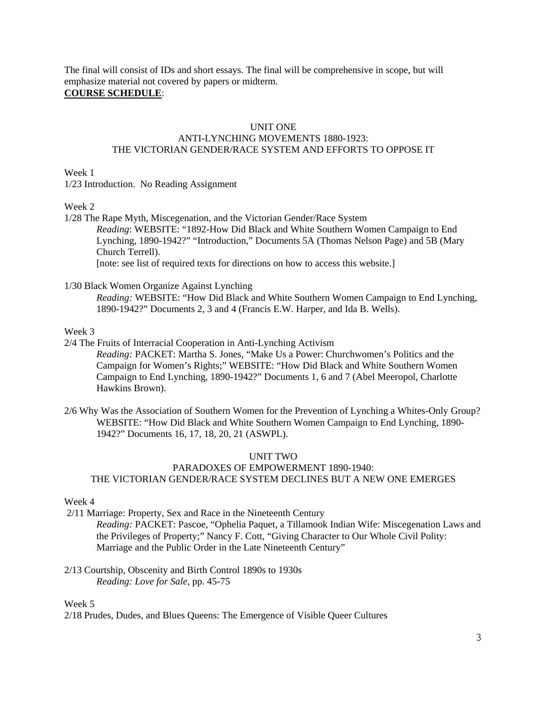The final will consist of IDs and short essays. The final will be comprehensive in scope, but will emphasize material not covered by papers or midterm.

# **COURSE SCHEDULE**:

#### UNIT ONE

### ANTI-LYNCHING MOVEMENTS 1880-1923: THE VICTORIAN GENDER/RACE SYSTEM AND EFFORTS TO OPPOSE IT

Week 1

1/23 Introduction. No Reading Assignment

Week 2

1/28 The Rape Myth, Miscegenation, and the Victorian Gender/Race System *Reading*: WEBSITE: "1892-How Did Black and White Southern Women Campaign to End Lynching, 1890-1942?" "Introduction," Documents 5A (Thomas Nelson Page) and 5B (Mary Church Terrell).

[note: see list of required texts for directions on how to access this website.]

#### 1/30 Black Women Organize Against Lynching

*Reading:* WEBSITE: "How Did Black and White Southern Women Campaign to End Lynching, 1890-1942?" Documents 2, 3 and 4 (Francis E.W. Harper, and Ida B. Wells).

#### Week 3

2/4 The Fruits of Interracial Cooperation in Anti-Lynching Activism

*Reading:* PACKET: Martha S. Jones, "Make Us a Power: Churchwomen's Politics and the Campaign for Women's Rights;" WEBSITE: "How Did Black and White Southern Women Campaign to End Lynching, 1890-1942?" Documents 1, 6 and 7 (Abel Meeropol, Charlotte Hawkins Brown).

2/6 Why Was the Association of Southern Women for the Prevention of Lynching a Whites-Only Group? WEBSITE: "How Did Black and White Southern Women Campaign to End Lynching, 1890- 1942?" Documents 16, 17, 18, 20, 21 (ASWPL).

### UNIT TWO

## PARADOXES OF EMPOWERMENT 1890-1940: THE VICTORIAN GENDER/RACE SYSTEM DECLINES BUT A NEW ONE EMERGES

Week 4

2/11 Marriage: Property, Sex and Race in the Nineteenth Century

*Reading:* PACKET: Pascoe, "Ophelia Paquet, a Tillamook Indian Wife: Miscegenation Laws and the Privileges of Property;" Nancy F. Cott, "Giving Character to Our Whole Civil Polity: Marriage and the Public Order in the Late Nineteenth Century"

2/13 Courtship, Obscenity and Birth Control 1890s to 1930s *Reading: Love for Sale,* pp. 45-75

#### Week 5

2/18 Prudes, Dudes, and Blues Queens: The Emergence of Visible Queer Cultures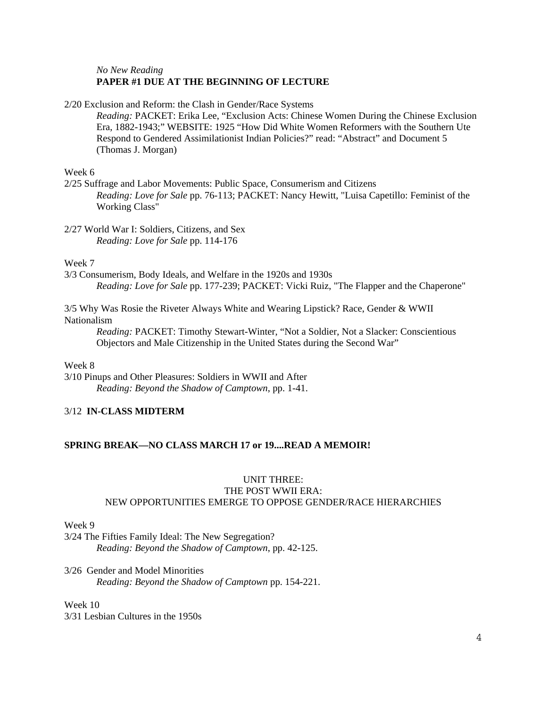#### *No New Reading* **PAPER #1 DUE AT THE BEGINNING OF LECTURE**

2/20 Exclusion and Reform: the Clash in Gender/Race Systems

*Reading:* PACKET: Erika Lee, "Exclusion Acts: Chinese Women During the Chinese Exclusion Era, 1882-1943;" WEBSITE: 1925 "How Did White Women Reformers with the Southern Ute Respond to Gendered Assimilationist Indian Policies?" read: "Abstract" and Document 5 (Thomas J. Morgan)

Week 6

2/25 Suffrage and Labor Movements: Public Space, Consumerism and Citizens *Reading: Love for Sale* pp. 76-113; PACKET: Nancy Hewitt, "Luisa Capetillo: Feminist of the Working Class"

2/27 World War I: Soldiers, Citizens, and Sex *Reading: Love for Sale* pp. 114-176

Week 7

3/3 Consumerism, Body Ideals, and Welfare in the 1920s and 1930s *Reading: Love for Sale* pp. 177-239; PACKET: Vicki Ruiz, "The Flapper and the Chaperone"

3/5 Why Was Rosie the Riveter Always White and Wearing Lipstick? Race, Gender & WWII Nationalism

*Reading:* PACKET: Timothy Stewart-Winter, "Not a Soldier, Not a Slacker: Conscientious Objectors and Male Citizenship in the United States during the Second War"

Week 8

3/10 Pinups and Other Pleasures: Soldiers in WWII and After *Reading: Beyond the Shadow of Camptown*, pp. 1-41.

## 3/12 **IN-CLASS MIDTERM**

### **SPRING BREAK—NO CLASS MARCH 17 or 19....READ A MEMOIR!**

## UNIT THREE: THE POST WWII ERA: NEW OPPORTUNITIES EMERGE TO OPPOSE GENDER/RACE HIERARCHIES

Week 9

3/24 The Fifties Family Ideal: The New Segregation? *Reading: Beyond the Shadow of Camptown*, pp. 42-125.

3/26 Gender and Model Minorities *Reading: Beyond the Shadow of Camptown* pp. 154-221.

Week 10 3/31 Lesbian Cultures in the 1950s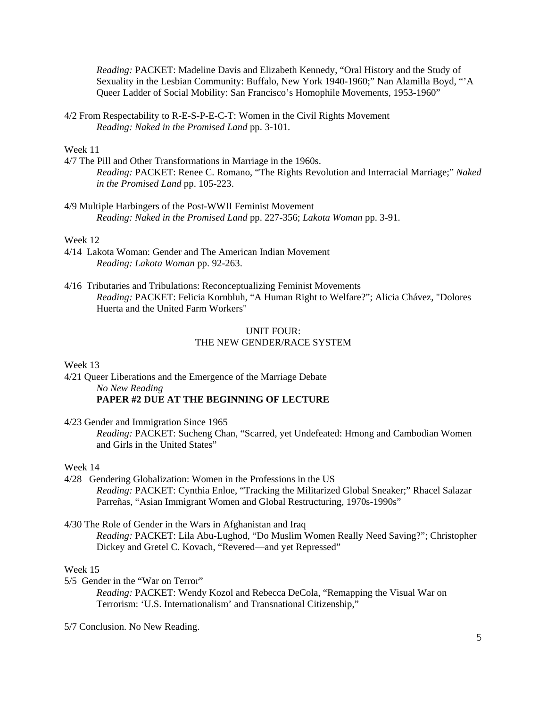*Reading:* PACKET: Madeline Davis and Elizabeth Kennedy, "Oral History and the Study of Sexuality in the Lesbian Community: Buffalo, New York 1940-1960;" Nan Alamilla Boyd, "'A Queer Ladder of Social Mobility: San Francisco's Homophile Movements, 1953-1960"

4/2 From Respectability to R-E-S-P-E-C-T: Women in the Civil Rights Movement *Reading: Naked in the Promised Land* pp. 3-101.

#### Week 11

- 4/7 The Pill and Other Transformations in Marriage in the 1960s. *Reading:* PACKET: Renee C. Romano, "The Rights Revolution and Interracial Marriage;" *Naked in the Promised Land* pp. 105-223.
- 4/9 Multiple Harbingers of the Post-WWII Feminist Movement *Reading: Naked in the Promised Land* pp. 227-356; *Lakota Woman* pp. 3-91.

#### Week 12

- 4/14 Lakota Woman: Gender and The American Indian Movement *Reading: Lakota Woman* pp. 92-263.
- 4/16 Tributaries and Tribulations: Reconceptualizing Feminist Movements *Reading:* PACKET: Felicia Kornbluh, "A Human Right to Welfare?"; Alicia Chávez, "Dolores Huerta and the United Farm Workers"

#### UNIT FOUR: THE NEW GENDER/RACE SYSTEM

Week 13

4/21 Queer Liberations and the Emergence of the Marriage Debate *No New Reading* 

## **PAPER #2 DUE AT THE BEGINNING OF LECTURE**

4/23 Gender and Immigration Since 1965

*Reading:* PACKET: Sucheng Chan, "Scarred, yet Undefeated: Hmong and Cambodian Women and Girls in the United States"

#### Week 14

- 4/28 Gendering Globalization: Women in the Professions in the US *Reading:* PACKET: Cynthia Enloe, "Tracking the Militarized Global Sneaker;" Rhacel Salazar Parreñas, "Asian Immigrant Women and Global Restructuring, 1970s-1990s"
- 4/30 The Role of Gender in the Wars in Afghanistan and Iraq

*Reading:* PACKET: Lila Abu-Lughod, "Do Muslim Women Really Need Saving?"; Christopher Dickey and Gretel C. Kovach, "Revered—and yet Repressed"

#### Week 15

5/5 Gender in the "War on Terror"

*Reading:* PACKET: Wendy Kozol and Rebecca DeCola, "Remapping the Visual War on Terrorism: 'U.S. Internationalism' and Transnational Citizenship,"

5/7 Conclusion. No New Reading.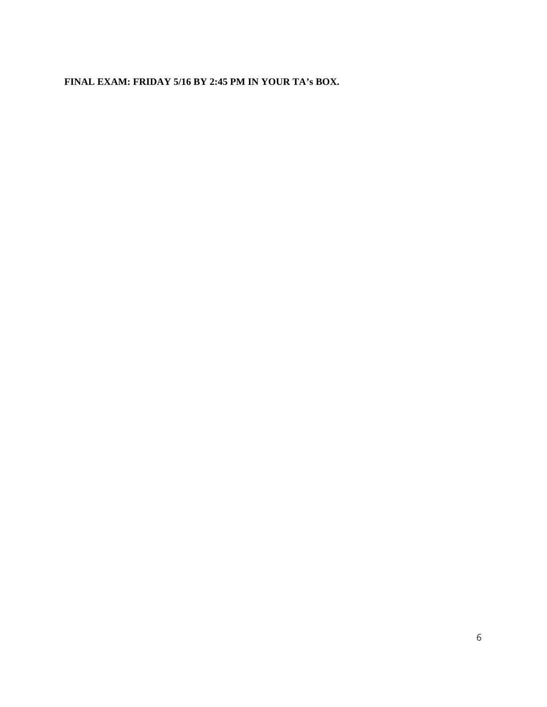**FINAL EXAM: FRIDAY 5/16 BY 2:45 PM IN YOUR TA's BOX.**